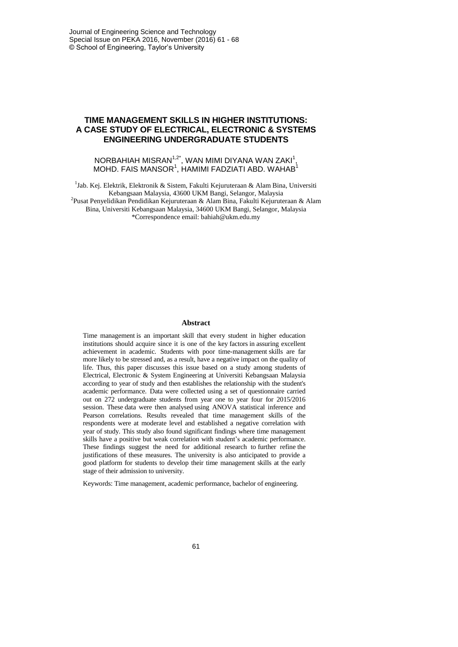# **TIME MANAGEMENT SKILLS IN HIGHER INSTITUTIONS: A CASE STUDY OF ELECTRICAL, ELECTRONIC & SYSTEMS ENGINEERING UNDERGRADUATE STUDENTS**

NORBAHIAH MISRAN $^{1,2^\star}$ , WAN MIMI DIYANA WAN ZAKI $^1,$  $MOH$ D. FAIS MANSOR $1$ , HAMIMI FADZIATI ABD. WAHAB $1$ 

<sup>1</sup>Jab. Kej. Elektrik, Elektronik & Sistem, Fakulti Kejuruteraan & Alam Bina, Universiti Kebangsaan Malaysia, 43600 UKM Bangi, Selangor, Malaysia <sup>2</sup>Pusat Penyelidikan Pendidikan Kejuruteraan & Alam Bina, Fakulti Kejuruteraan & Alam Bina, Universiti Kebangsaan Malaysia, 34600 UKM Bangi, Selangor, Malaysia \*Correspondence email: [bahiah@ukm.edu.my](mailto:bahiah@ukm.edu.my)

#### **Abstract**

Time management is an important skill that every student in higher education institutions should acquire since it is one of the key factors in assuring excellent achievement in academic. Students with poor time-management skills are far more likely to be stressed and, as a result, have a negative impact on the quality of life. Thus, this paper discusses this issue based on a study among students of Electrical, Electronic & System Engineering at Universiti Kebangsaan Malaysia according to year of study and then establishes the relationship with the student's academic performance. Data were collected using a set of questionnaire carried out on 272 undergraduate students from year one to year four for 2015/2016 session. These data were then analysed using ANOVA statistical inference and Pearson correlations. Results revealed that time management skills of the respondents were at moderate level and established a negative correlation with year of study. This study also found significant findings where time management skills have a positive but weak correlation with student's academic performance. These findings suggest the need for additional research to further refine the justifications of these measures. The university is also anticipated to provide a good platform for students to develop their time management skills at the early stage of their admission to university.

Keywords: Time management, academic performance, bachelor of engineering.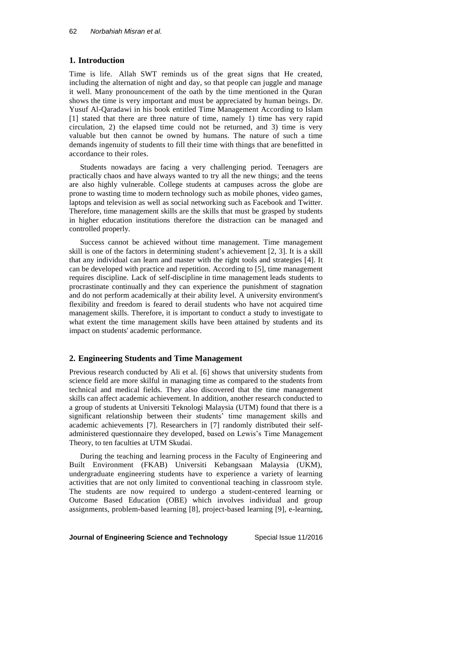# **1. Introduction**

Time is life. Allah SWT reminds us of the great signs that He created, including the alternation of night and day, so that people can juggle and manage it well. Many pronouncement of the oath by the time mentioned in the Quran shows the time is very important and must be appreciated by human beings. Dr. Yusuf Al-Qaradawi in his book entitled Time Management According to Islam [1] stated that there are three nature of time, namely 1) time has very rapid circulation, 2) the elapsed time could not be returned, and 3) time is very valuable but then cannot be owned by humans. The nature of such a time demands ingenuity of students to fill their time with things that are benefitted in accordance to their roles.

Students nowadays are facing a very challenging period. Teenagers are practically chaos and have always wanted to try all the new things; and the teens are also highly vulnerable. College students at campuses across the globe are prone to wasting time to modern technology such as mobile phones, video games, laptops and television as well as social networking such as Facebook and Twitter. Therefore, time management skills are the skills that must be grasped by students in higher education institutions therefore the distraction can be managed and controlled properly.

Success cannot be achieved without time management. Time management skill is one of the factors in determining student's achievement [2, 3]. It is a skill that any individual can learn and master with the right tools and strategies [4]. It can be developed with practice and repetition. According to [5], time management requires discipline. Lack of self-discipline in time management leads students to procrastinate continually and they can experience the punishment of stagnation and do not perform academically at their ability level. A university environment's flexibility and freedom is feared to derail students who have not acquired time management skills. Therefore, it is important to conduct a study to investigate to what extent the time management skills have been attained by students and its impact on students' academic performance.

### **2. Engineering Students and Time Management**

Previous research conducted by Ali et al. [6] shows that university students from science field are more skilful in managing time as compared to the students from technical and medical fields. They also discovered that the time management skills can affect academic achievement. In addition, another research conducted to a group of students at Universiti Teknologi Malaysia (UTM) found that there is a significant relationship between their students' time management skills and academic achievements [7]. Researchers in [7] randomly distributed their selfadministered questionnaire they developed, based on Lewis's Time Management Theory, to ten faculties at UTM Skudai.

During the teaching and learning process in the Faculty of Engineering and Built Environment (FKAB) Universiti Kebangsaan Malaysia (UKM), undergraduate engineering students have to experience a variety of learning activities that are not only limited to conventional teaching in classroom style. The students are now required to undergo a student-centered learning or Outcome Based Education (OBE) which involves individual and group assignments, problem-based learning [8], project-based learning [9], e-learning,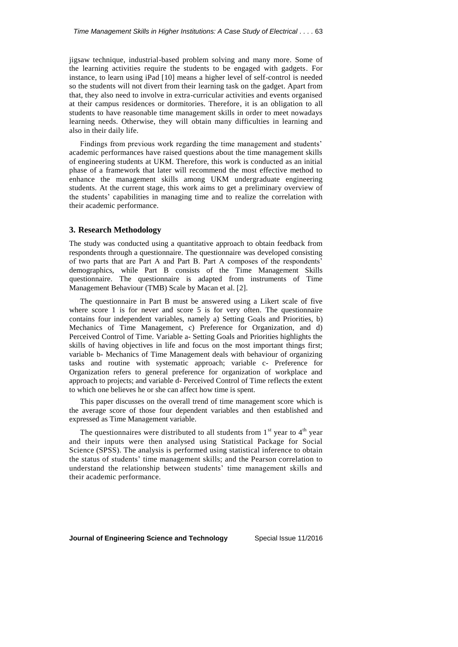jigsaw technique, industrial-based problem solving and many more. Some of the learning activities require the students to be engaged with gadgets. For instance, to learn using iPad [10] means a higher level of self-control is needed so the students will not divert from their learning task on the gadget. Apart from that, they also need to involve in extra-curricular activities and events organised at their campus residences or dormitories. Therefore, it is an obligation to all students to have reasonable time management skills in order to meet nowadays learning needs. Otherwise, they will obtain many difficulties in learning and also in their daily life.

Findings from previous work regarding the time management and students' academic performances have raised questions about the time management skills of engineering students at UKM. Therefore, this work is conducted as an initial phase of a framework that later will recommend the most effective method to enhance the management skills among UKM undergraduate engineering students. At the current stage, this work aims to get a preliminary overview of the students' capabilities in managing time and to realize the correlation with their academic performance.

## **3. Research Methodology**

The study was conducted using a quantitative approach to obtain feedback from respondents through a questionnaire. The questionnaire was developed consisting of two parts that are Part A and Part B. Part A composes of the respondents' demographics, while Part B consists of the Time Management Skills questionnaire. The questionnaire is adapted from instruments of Time Management Behaviour (TMB) Scale by Macan et al. [2].

The questionnaire in Part B must be answered using a Likert scale of five where score 1 is for never and score 5 is for very often. The questionnaire contains four independent variables, namely a) Setting Goals and Priorities, b) Mechanics of Time Management, c) Preference for Organization, and d) Perceived Control of Time. Variable a- Setting Goals and Priorities highlights the skills of having objectives in life and focus on the most important things first; variable b- Mechanics of Time Management deals with behaviour of organizing tasks and routine with systematic approach; variable c- Preference for Organization refers to general preference for organization of workplace and approach to projects; and variable d- Perceived Control of Time reflects the extent to which one believes he or she can affect how time is spent.

This paper discusses on the overall trend of time management score which is the average score of those four dependent variables and then established and expressed as Time Management variable.

The questionnaires were distributed to all students from  $1<sup>st</sup>$  year to  $4<sup>th</sup>$  year and their inputs were then analysed using Statistical Package for Social Science (SPSS). The analysis is performed using statistical inference to obtain the status of students' time management skills; and the Pearson correlation to understand the relationship between students' time management skills and their academic performance.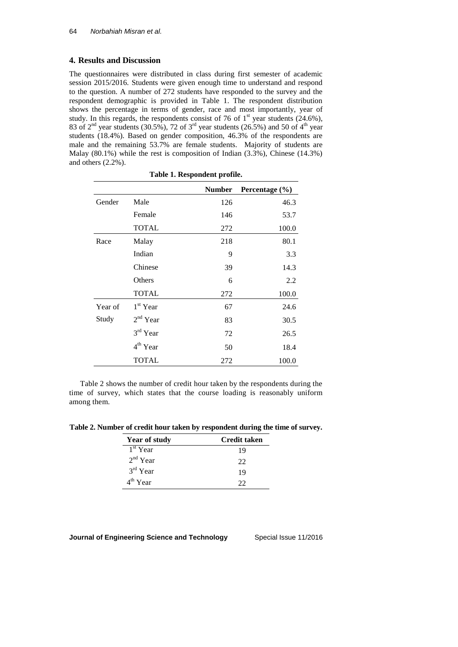# **4. Results and Discussion**

The questionnaires were distributed in class during first semester of academic session 2015/2016. Students were given enough time to understand and respond to the question. A number of 272 students have responded to the survey and the respondent demographic is provided in Table 1. The respondent distribution shows the percentage in terms of gender, race and most importantly, year of study. In this regards, the respondents consist of 76 of  $1<sup>st</sup>$  year students (24.6%), 83 of  $2<sup>nd</sup>$  year students (30.5%), 72 of  $3<sup>rd</sup>$  year students (26.5%) and 50 of 4<sup>th</sup> year students (18.4%). Based on gender composition, 46.3% of the respondents are male and the remaining 53.7% are female students. Majority of students are Malay (80.1%) while the rest is composition of Indian (3.3%), Chinese (14.3%) and others (2.2%).

| Table 1. Respondent profile. |              |               |                    |
|------------------------------|--------------|---------------|--------------------|
|                              |              | <b>Number</b> | Percentage $(\% )$ |
| Gender                       | Male         | 126           | 46.3               |
|                              | Female       | 146           | 53.7               |
|                              | <b>TOTAL</b> | 272           | 100.0              |
| Race                         | Malay        | 218           | 80.1               |
|                              | Indian       | 9             | 3.3                |
|                              | Chinese      | 39            | 14.3               |
|                              | Others       | 6             | 2.2                |
|                              | <b>TOTAL</b> | 272           | 100.0              |
| Year of                      | $1st$ Year   | 67            | 24.6               |
| Study                        | $2nd$ Year   | 83            | 30.5               |
|                              | 3rd Year     | 72            | 26.5               |
|                              | $4th$ Year   | 50            | 18.4               |
|                              | <b>TOTAL</b> | 272           | 100.0              |

Table 2 shows the number of credit hour taken by the respondents during the time of survey, which states that the course loading is reasonably uniform among them.

**Table 2. Number of credit hour taken by respondent during the time of survey.**

| <b>Year of study</b> | <b>Credit taken</b> |
|----------------------|---------------------|
| 1 <sup>st</sup> Year | 19                  |
| $2nd$ Year           | 22                  |
| $3rd$ Year           | 19                  |
| $4th$ Year           | 22                  |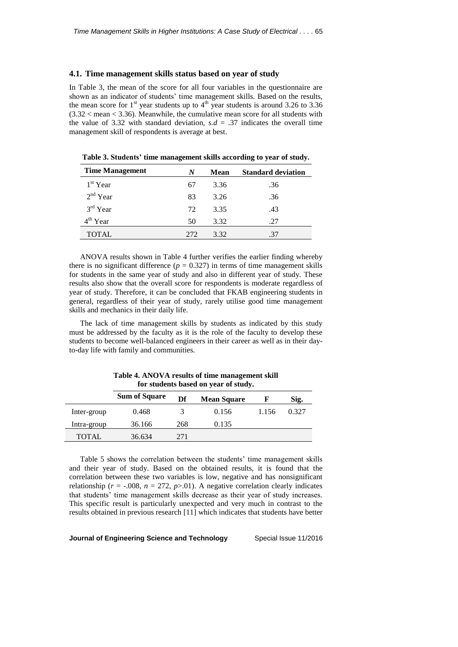#### **4.1. Time management skills status based on year of study**

In Table 3, the mean of the score for all four variables in the questionnaire are shown as an indicator of students' time management skills. Based on the results, the mean score for  $1<sup>st</sup>$  year students up to  $4<sup>th</sup>$  year students is around 3.26 to 3.36  $(3.32 <$  mean  $<$  3.36). Meanwhile, the cumulative mean score for all students with the value of 3.32 with standard deviation,  $s.d = .37$  indicates the overall time management skill of respondents is average at best.

| <b>Time Management</b> | N   | Mean | <b>Standard deviation</b> |
|------------------------|-----|------|---------------------------|
| $1st$ Year             | 67  | 3.36 | .36                       |
| $2nd$ Year             | 83  | 3.26 | .36                       |
| $3rd$ Year             | 72  | 3.35 | .43                       |
| 4 <sup>th</sup> Year   | 50  | 3.32 | .27                       |
| TOTAL                  | 272 | 3.32 | .37                       |

**Table 3. Students' time management skills according to year of study.**

ANOVA results shown in Table 4 further verifies the earlier finding whereby there is no significant difference  $(p = 0.327)$  in terms of time management skills for students in the same year of study and also in different year of study. These results also show that the overall score for respondents is moderate regardless of year of study. Therefore, it can be concluded that FKAB engineering students in general, regardless of their year of study, rarely utilise good time management skills and mechanics in their daily life.

The lack of time management skills by students as indicated by this study must be addressed by the faculty as it is the role of the faculty to develop these students to become well-balanced engineers in their career as well as in their dayto-day life with family and communities.

|             | for students based on year of study. |     |                    |       |       |
|-------------|--------------------------------------|-----|--------------------|-------|-------|
|             | <b>Sum of Square</b>                 | Df  | <b>Mean Square</b> | F     | Sig.  |
| Inter-group | 0.468                                | 3   | 0.156              | 1.156 | 0.327 |
| Intra-group | 36.166                               | 268 | 0.135              |       |       |
| TOTAL       | 36.634                               | 271 |                    |       |       |

**Table 4. ANOVA results of time management skill** 

Table 5 shows the correlation between the students' time management skills and their year of study. Based on the obtained results, it is found that the correlation between these two variables is low, negative and has nonsignificant relationship ( $r = -.008$ ,  $n = 272$ ,  $p > .01$ ). A negative correlation clearly indicates that students' time management skills decrease as their year of study increases. This specific result is particularly unexpected and very much in contrast to the results obtained in previous research [11] which indicates that students have better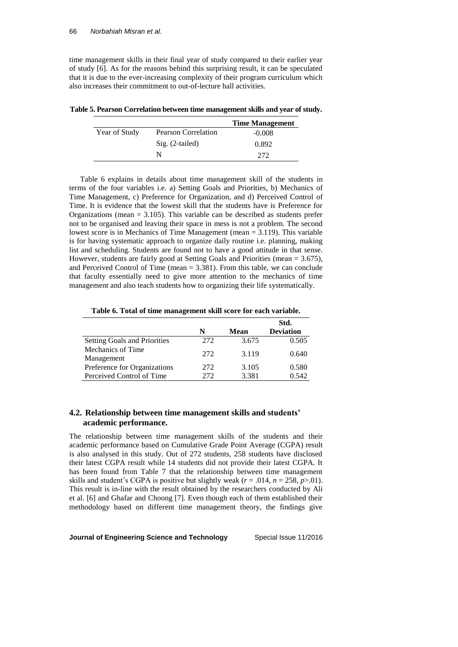time management skills in their final year of study compared to their earlier year of study [6]. As for the reasons behind this surprising result, it can be speculated that it is due to the ever-increasing complexity of their program curriculum which also increases their commitment to out-of-lecture hall activities.

**Table 5. Pearson Correlation between time management skills and year of study.**

|               |                            | <b>Time Management</b> |
|---------------|----------------------------|------------------------|
| Year of Study | <b>Pearson Correlation</b> | $-0.008$               |
|               | $Sig. (2-tailed)$          | 0.892                  |
|               | N                          | 272                    |

Table 6 explains in details about time management skill of the students in terms of the four variables i.e. a) Setting Goals and Priorities, b) Mechanics of Time Management, c) Preference for Organization, and d) Perceived Control of Time. It is evidence that the lowest skill that the students have is Preference for Organizations (mean = 3.105). This variable can be described as students prefer not to be organised and leaving their space in mess is not a problem. The second lowest score is in Mechanics of Time Management (mean = 3.119). This variable is for having systematic approach to organize daily routine i.e. planning, making list and scheduling. Students are found not to have a good attitude in that sense. However, students are fairly good at Setting Goals and Priorities (mean = 3.675), and Perceived Control of Time (mean  $= 3.381$ ). From this table, we can conclude that faculty essentially need to give more attention to the mechanics of time management and also teach students how to organizing their life systematically.

**Table 6. Total of time management skill score for each variable.**

|                              |      |       | Std.             |
|------------------------------|------|-------|------------------|
|                              | N    | Mean  | <b>Deviation</b> |
| Setting Goals and Priorities | 272  | 3.675 | 0.505            |
| Mechanics of Time            | 272  | 3.119 | 0.640            |
| Management                   |      |       |                  |
| Preference for Organizations | 272  | 3.105 | 0.580            |
| Perceived Control of Time    | 272. | 3.381 | 0.542            |

# **4.2. Relationship between time management skills and students' academic performance.**

The relationship between time management skills of the students and their academic performance based on Cumulative Grade Point Average (CGPA) result is also analysed in this study. Out of 272 students, 258 students have disclosed their latest CGPA result while 14 students did not provide their latest CGPA. It has been found from Table 7 that the relationship between time management skills and student's CGPA is positive but slightly weak  $(r = .014, n = 258, p > .01)$ . This result is in-line with the result obtained by the researchers conducted by Ali et al. [6] and Ghafar and Choong [7]. Even though each of them established their methodology based on different time management theory, the findings give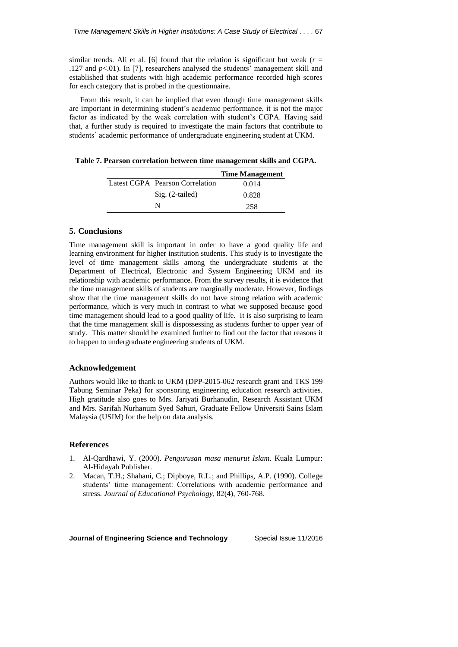similar trends. Ali et al. [6] found that the relation is significant but weak  $(r =$ .127 and *p*<.01). In [7], researchers analysed the students' management skill and established that students with high academic performance recorded high scores for each category that is probed in the questionnaire.

From this result, it can be implied that even though time management skills are important in determining student's academic performance, it is not the major factor as indicated by the weak correlation with student's CGPA. Having said that, a further study is required to investigate the main factors that contribute to students' academic performance of undergraduate engineering student at UKM.

**Table 7. Pearson correlation between time management skills and CGPA.**

|                                 | <b>Time Management</b> |
|---------------------------------|------------------------|
| Latest CGPA Pearson Correlation | 0.014                  |
| Sig. (2-tailed)                 | 0.828                  |
| N                               | 258                    |

# **5. Conclusions**

Time management skill is important in order to have a good quality life and learning environment for higher institution students. This study is to investigate the level of time management skills among the undergraduate students at the Department of Electrical, Electronic and System Engineering UKM and its relationship with academic performance. From the survey results, it is evidence that the time management skills of students are marginally moderate. However, findings show that the time management skills do not have strong relation with academic performance, which is very much in contrast to what we supposed because good time management should lead to a good quality of life. It is also surprising to learn that the time management skill is dispossessing as students further to upper year of study. This matter should be examined further to find out the factor that reasons it to happen to undergraduate engineering students of UKM.

### **Acknowledgement**

Authors would like to thank to UKM (DPP-2015-062 research grant and TKS 199 Tabung Seminar Peka) for sponsoring engineering education research activities. High gratitude also goes to Mrs. Jariyati Burhanudin, Research Assistant UKM and Mrs. Sarifah Nurhanum Syed Sahuri, Graduate Fellow Universiti Sains Islam Malaysia (USIM) for the help on data analysis.

## **References**

- 1. Al-Qardhawi, Y. (2000). *Pengurusan masa menurut Islam*. Kuala Lumpur: Al-Hidayah Publisher.
- 2. Macan, T.H.; Shahani, C.; Dipboye, R.L.; and Phillips, A.P. (1990). College students' time management: Correlations with academic performance and stress. *Journal of Educational Psychology*, 82(4), 760-768.